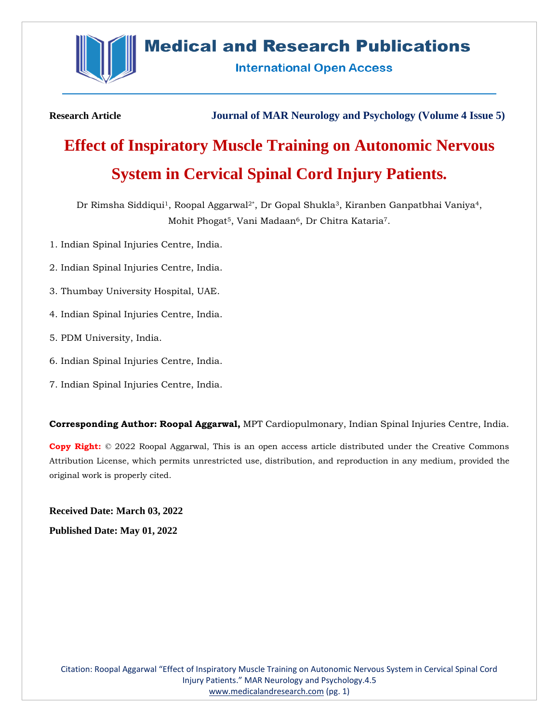

# **Medical and Research Publications**

**International Open Access** 

**Research Article Journal of MAR Neurology and Psychology (Volume 4 Issue 5)**

# **Effect of Inspiratory Muscle Training on Autonomic Nervous System in Cervical Spinal Cord Injury Patients.**

Dr Rimsha Siddiqui<sup>1</sup>, Roopal Aggarwal<sup>2\*</sup>, Dr Gopal Shukla<sup>3</sup>, Kiranben Ganpatbhai Vaniya<sup>4</sup>, Mohit Phogat<sup>5</sup>, Vani Madaan<sup>6</sup>, Dr Chitra Kataria<sup>7</sup>.

- 1. Indian Spinal Injuries Centre, India.
- 2. Indian Spinal Injuries Centre, India.
- 3. Thumbay University Hospital, UAE.
- 4. Indian Spinal Injuries Centre, India.
- 5. PDM University, India.
- 6. Indian Spinal Injuries Centre, India.
- 7. Indian Spinal Injuries Centre, India.

**Corresponding Author: Roopal Aggarwal,** MPT Cardiopulmonary, Indian Spinal Injuries Centre, India.

**Copy Right:** © 2022 Roopal Aggarwal, This is an open access article distributed under the Creative Commons Attribution License, which permits unrestricted use, distribution, and reproduction in any medium, provided the original work is properly cited.

**Received Date: March 03, 2022 Published Date: May 01, 2022**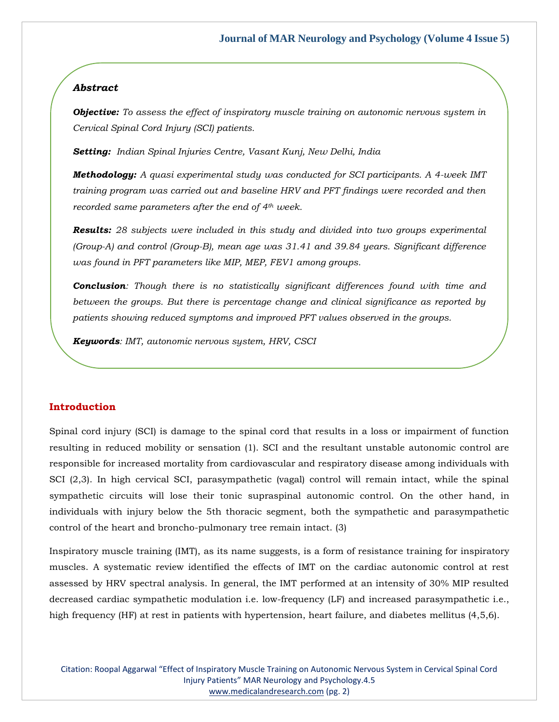# *Abstract*

*Objective: To assess the effect of inspiratory muscle training on autonomic nervous system in Cervical Spinal Cord Injury (SCI) patients.*

*Setting: Indian Spinal Injuries Centre, Vasant Kunj, New Delhi, India*

*Methodology: A quasi experimental study was conducted for SCI participants. A 4-week IMT training program was carried out and baseline HRV and PFT findings were recorded and then recorded same parameters after the end of 4th week.*

*Results: 28 subjects were included in this study and divided into two groups experimental (Group-A) and control (Group-B), mean age was 31.41 and 39.84 years. Significant difference was found in PFT parameters like MIP, MEP, FEV1 among groups.*

*Conclusion: Though there is no statistically significant differences found with time and between the groups. But there is percentage change and clinical significance as reported by patients showing reduced symptoms and improved PFT values observed in the groups.*

*Keywords: IMT, autonomic nervous system, HRV, CSCI*

# **Introduction**

Spinal cord injury (SCI) is damage to the spinal cord that results in a loss or impairment of function resulting in reduced mobility or sensation (1). SCI and the resultant unstable autonomic control are responsible for increased mortality from cardiovascular and respiratory disease among individuals with SCI (2,3). In high cervical SCI, parasympathetic (vagal) control will remain intact, while the spinal sympathetic circuits will lose their tonic supraspinal autonomic control. On the other hand, in individuals with injury below the 5th thoracic segment, both the sympathetic and parasympathetic control of the heart and broncho-pulmonary tree remain intact. (3)

Inspiratory muscle training (IMT), as its name suggests, is a form of resistance training for inspiratory muscles. A systematic review identified the effects of IMT on the cardiac autonomic control at rest assessed by HRV spectral analysis. In general, the IMT performed at an intensity of 30% MIP resulted decreased cardiac sympathetic modulation i.e. low-frequency (LF) and increased parasympathetic i.e., high frequency (HF) at rest in patients with hypertension, heart failure, and diabetes mellitus (4,5,6).

Citation: Roopal Aggarwal "Effect of Inspiratory Muscle Training on Autonomic Nervous System in Cervical Spinal Cord Injury Patients" MAR Neurology and Psychology.4.5 [www.medicalandresearch.com](http://www.medicalandresearch.com/) (pg. 2)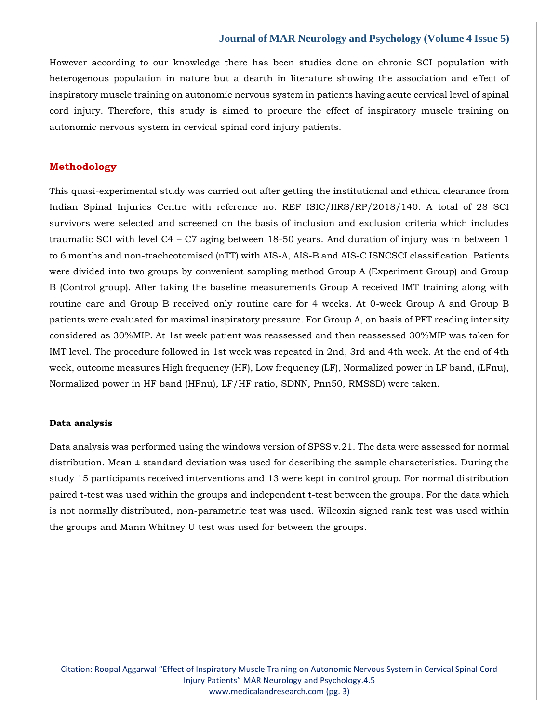However according to our knowledge there has been studies done on chronic SCI population with heterogenous population in nature but a dearth in literature showing the association and effect of inspiratory muscle training on autonomic nervous system in patients having acute cervical level of spinal cord injury. Therefore, this study is aimed to procure the effect of inspiratory muscle training on autonomic nervous system in cervical spinal cord injury patients.

# **Methodology**

This quasi-experimental study was carried out after getting the institutional and ethical clearance from Indian Spinal Injuries Centre with reference no. REF ISIC/IIRS/RP/2018/140. A total of 28 SCI survivors were selected and screened on the basis of inclusion and exclusion criteria which includes traumatic SCI with level C4 – C7 aging between 18-50 years. And duration of injury was in between 1 to 6 months and non-tracheotomised (nTT) with AIS-A, AIS-B and AIS-C ISNCSCI classification. Patients were divided into two groups by convenient sampling method Group A (Experiment Group) and Group B (Control group). After taking the baseline measurements Group A received IMT training along with routine care and Group B received only routine care for 4 weeks. At 0-week Group A and Group B patients were evaluated for maximal inspiratory pressure. For Group A, on basis of PFT reading intensity considered as 30%MIP. At 1st week patient was reassessed and then reassessed 30%MIP was taken for IMT level. The procedure followed in 1st week was repeated in 2nd, 3rd and 4th week. At the end of 4th week, outcome measures High frequency (HF), Low frequency (LF), Normalized power in LF band, (LFnu), Normalized power in HF band (HFnu), LF/HF ratio, SDNN, Pnn50, RMSSD) were taken.

#### **Data analysis**

Data analysis was performed using the windows version of SPSS v.21. The data were assessed for normal distribution. Mean ± standard deviation was used for describing the sample characteristics. During the study 15 participants received interventions and 13 were kept in control group. For normal distribution paired t-test was used within the groups and independent t-test between the groups. For the data which is not normally distributed, non-parametric test was used. Wilcoxin signed rank test was used within the groups and Mann Whitney U test was used for between the groups.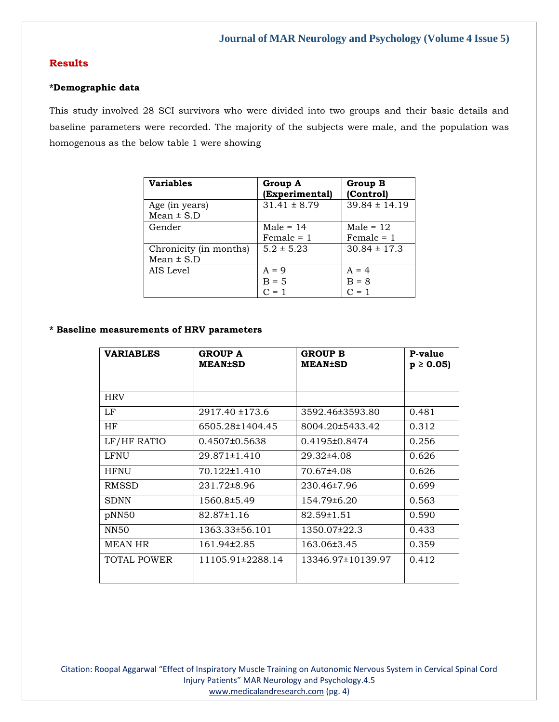# **Results**

#### **\*Demographic data**

This study involved 28 SCI survivors who were divided into two groups and their basic details and baseline parameters were recorded. The majority of the subjects were male, and the population was homogenous as the below table 1 were showing

| <b>Variables</b>                         | Group A<br>(Experimental)     | Group B<br>(Control)          |
|------------------------------------------|-------------------------------|-------------------------------|
| Age (in years)<br>Mean $\pm$ S.D         | $31.41 \pm 8.79$              | $39.84 \pm 14.19$             |
| Gender                                   | Male $= 14$<br>$Female = 1$   | Male = $12$<br>$Female = 1$   |
| Chronicity (in months)<br>Mean $\pm$ S.D | $5.2 \pm 5.23$                | $30.84 \pm 17.3$              |
| AIS Level                                | $A = 9$<br>$B = 5$<br>$C = 1$ | $A = 4$<br>$B = 8$<br>$C = 1$ |

#### **\* Baseline measurements of HRV parameters**

| <b>VARIABLES</b> | <b>GROUP A</b><br><b>MEAN±SD</b> | <b>GROUP B</b><br><b>MEAN±SD</b> | P-value<br>$p \ge 0.05$ |
|------------------|----------------------------------|----------------------------------|-------------------------|
|                  |                                  |                                  |                         |
| <b>HRV</b>       |                                  |                                  |                         |
| LF               | 2917.40 ±173.6                   | 3592.46±3593.80                  | 0.481                   |
| HF               | 6505.28±1404.45                  | 8004.20±5433.42                  | 0.312                   |
| LF/HF RATIO      | $0.4507\pm0.5638$                | 0.4195±0.8474                    | 0.256                   |
| LFNU             | $29.871 \pm 1.410$               | 29.32±4.08                       | 0.626                   |
| <b>HFNU</b>      | 70.122±1.410                     | 70.67±4.08                       | 0.626                   |
| RMSSD            | 231.72±8.96                      | 230.46±7.96                      | 0.699                   |
| <b>SDNN</b>      | 1560.8±5.49                      | 154.79±6.20                      | 0.563                   |
| pNN50            | $82.87 \pm 1.16$                 | 82.59±1.51                       | 0.590                   |
| NN <sub>50</sub> | 1363.33±56.101                   | 1350.07±22.3                     | 0.433                   |
| <b>MEAN HR</b>   | 161.94±2.85                      | 163.06±3.45                      | 0.359                   |
| TOTAL POWER      | 11105.91±2288.14                 | 13346.97±10139.97                | 0.412                   |

Citation: Roopal Aggarwal "Effect of Inspiratory Muscle Training on Autonomic Nervous System in Cervical Spinal Cord Injury Patients" MAR Neurology and Psychology.4.5 [www.medicalandresearch.com](http://www.medicalandresearch.com/) (pg. 4)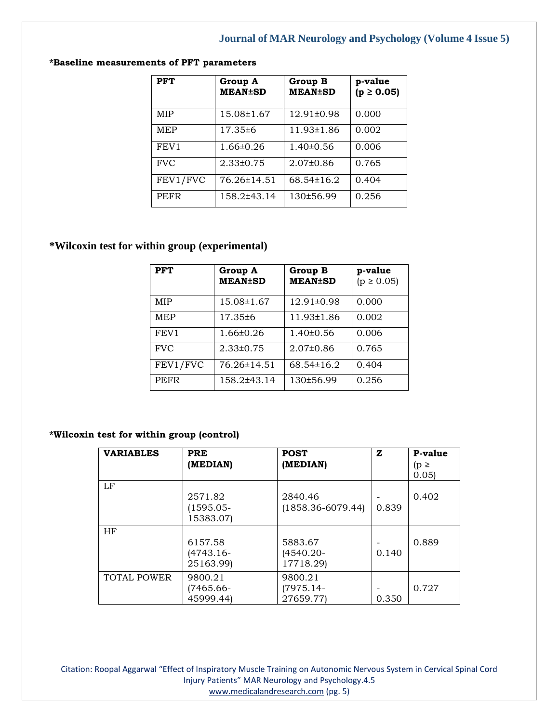| <b>PFT</b>  | Group A<br><b>MEAN±SD</b> | Group B<br><b>MEAN±SD</b> | p-value<br>$(p \ge 0.05)$ |
|-------------|---------------------------|---------------------------|---------------------------|
| <b>MIP</b>  | 15.08±1.67                | 12.91±0.98                | 0.000                     |
| <b>MEP</b>  | 17.35±6                   | 11.93±1.86                | 0.002                     |
| FEV1        | $1.66 \pm 0.26$           | $1.40\pm0.56$             | 0.006                     |
| <b>FVC</b>  | $2.33\pm0.75$             | $2.07\pm0.86$             | 0.765                     |
| FEV1/FVC    | 76.26±14.51               | $68.54 \pm 16.2$          | 0.404                     |
| <b>PEFR</b> | 158.2±43.14               | 130±56.99                 | 0.256                     |

# **\*Baseline measurements of PFT parameters**

# **\*Wilcoxin test for within group (experimental)**

| <b>PFT</b>       | Group A<br><b>MEAN±SD</b> | Group B<br><b>MEAN±SD</b> | p-value<br>$(p \ge 0.05)$ |
|------------------|---------------------------|---------------------------|---------------------------|
| MIP              | 15.08±1.67                | 12.91±0.98                | 0.000                     |
| <b>MEP</b>       | 17.35±6                   | 11.93±1.86                | 0.002                     |
| FEV <sub>1</sub> | $1.66 \pm 0.26$           | $1.40\pm0.56$             | 0.006                     |
| <b>FVC</b>       | $2.33 \pm 0.75$           | $2.07\pm0.86$             | 0.765                     |
| FEV1/FVC         | 76.26±14.51               | $68.54 \pm 16.2$          | 0.404                     |
| <b>PEFR</b>      | 158.2±43.14               | 130±56.99                 | 0.256                     |

# **\*Wilcoxin test for within group (control)**

| <b>VARIABLES</b>   | <b>PRE</b><br>(MEDIAN)               | <b>POST</b><br>(MEDIAN)              | $\mathbf{z}$ | P-value<br>$(p \ge$<br>0.051 |
|--------------------|--------------------------------------|--------------------------------------|--------------|------------------------------|
| LF                 | 2571.82<br>$(1595.05 -$<br>15383.07) | 2840.46<br>$(1858.36 - 6079.44)$     | 0.839        | 0.402                        |
| <b>HF</b>          | 6157.58<br>$(4743.16-$<br>25163.99)  | 5883.67<br>$(4540.20 -$<br>17718.29) | 0.140        | 0.889                        |
| <b>TOTAL POWER</b> | 9800.21<br>(7465.66-<br>45999.44)    | 9800.21<br>(7975.14-<br>27659.77)    | 0.350        | 0.727                        |

Citation: Roopal Aggarwal "Effect of Inspiratory Muscle Training on Autonomic Nervous System in Cervical Spinal Cord Injury Patients" MAR Neurology and Psychology.4.5 [www.medicalandresearch.com](http://www.medicalandresearch.com/) (pg. 5)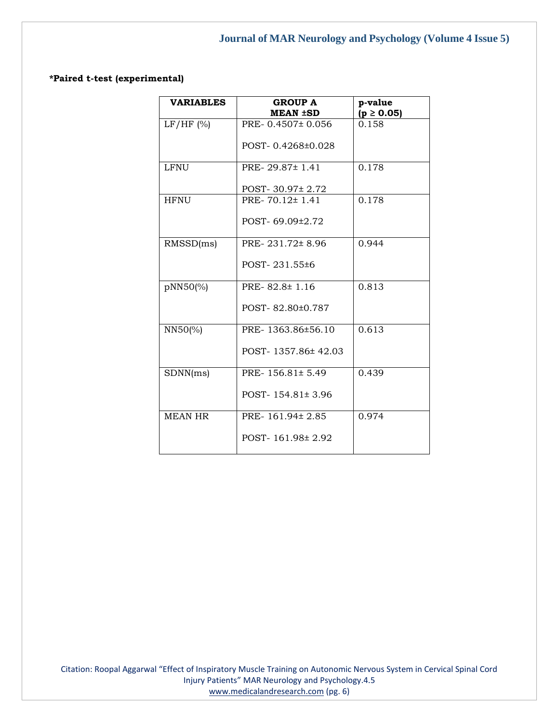# **\*Paired t-test (experimental)**

| <b>VARIABLES</b> | <b>GROUP A</b>         | p-value        |
|------------------|------------------------|----------------|
|                  | <b>MEAN ±SD</b>        | $(p \ge 0.05)$ |
| LF/HF (%)        | PRE-0.4507±0.056       | 0.158          |
|                  | POST-0.4268±0.028      |                |
| <b>LFNU</b>      | PRE-29.87±1.41         | 0.178          |
|                  | POST- $30.97 \pm 2.72$ |                |
| <b>HFNU</b>      | PRE-70.12±1.41         | 0.178          |
|                  | POST-69.09±2.72        |                |
| RMSSD(ms)        | PRE-231.72±8.96        | 0.944          |
|                  | POST-231.55±6          |                |
| pNN50(%)         | PRE-82.8±1.16          | 0.813          |
|                  | POST-82.80±0.787       |                |
| NN50(%)          | PRE-1363.86±56.10      | 0.613          |
|                  | POST-1357.86±42.03     |                |
| SDNN(ms)         | PRE-156.81±5.49        | 0.439          |
|                  | POST-154.81±3.96       |                |
| <b>MEAN HR</b>   | PRE-161.94±2.85        | 0.974          |
|                  | POST-161.98±2.92       |                |

Citation: Roopal Aggarwal "Effect of Inspiratory Muscle Training on Autonomic Nervous System in Cervical Spinal Cord Injury Patients" MAR Neurology and Psychology.4.5 [www.medicalandresearch.com](http://www.medicalandresearch.com/) (pg. 6)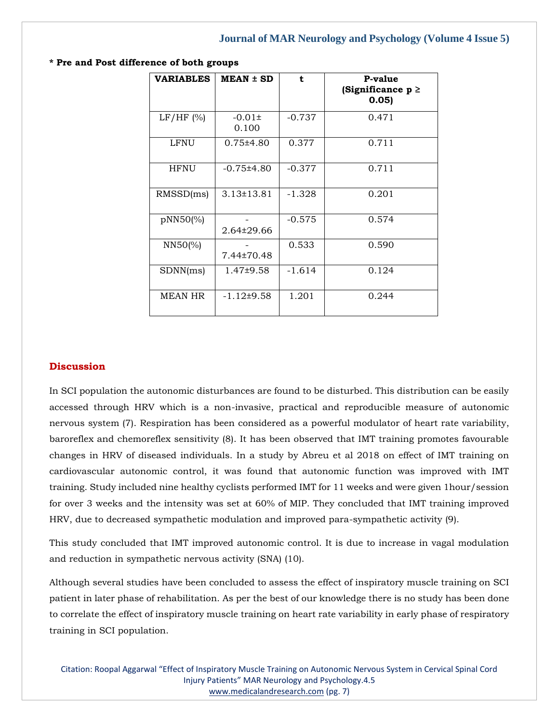| <b>VARIABLES</b> | $MEAN \pm SD$       | t        | P-value<br>(Significance $p \ge$<br>0.05 |
|------------------|---------------------|----------|------------------------------------------|
| LF/HF (%)        | $-0.01\pm$<br>0.100 | $-0.737$ | 0.471                                    |
| LFNU             | $0.75 \pm 4.80$     | 0.377    | 0.711                                    |
| <b>HFNU</b>      | $-0.75\pm4.80$      | $-0.377$ | 0.711                                    |
| RMSSD(ms)        | $3.13 \pm 13.81$    | $-1.328$ | 0.201                                    |
| pNN50(%)         | 2.64±29.66          | $-0.575$ | 0.574                                    |
| $NN50\%$         | 7.44±70.48          | 0.533    | 0.590                                    |
| SDNN(ms)         | $1.47\pm9.58$       | $-1.614$ | 0.124                                    |
| <b>MEAN HR</b>   | $-1.12{\pm}9.58$    | 1.201    | 0.244                                    |

**\* Pre and Post difference of both groups**

### **Discussion**

In SCI population the autonomic disturbances are found to be disturbed. This distribution can be easily accessed through HRV which is a non-invasive, practical and reproducible measure of autonomic nervous system (7). Respiration has been considered as a powerful modulator of heart rate variability, baroreflex and chemoreflex sensitivity (8). It has been observed that IMT training promotes favourable changes in HRV of diseased individuals. In a study by Abreu et al 2018 on effect of IMT training on cardiovascular autonomic control, it was found that autonomic function was improved with IMT training. Study included nine healthy cyclists performed IMT for 11 weeks and were given 1hour/session for over 3 weeks and the intensity was set at 60% of MIP. They concluded that IMT training improved HRV, due to decreased sympathetic modulation and improved para-sympathetic activity (9).

This study concluded that IMT improved autonomic control. It is due to increase in vagal modulation and reduction in sympathetic nervous activity (SNA) (10).

Although several studies have been concluded to assess the effect of inspiratory muscle training on SCI patient in later phase of rehabilitation. As per the best of our knowledge there is no study has been done to correlate the effect of inspiratory muscle training on heart rate variability in early phase of respiratory training in SCI population.

Citation: Roopal Aggarwal "Effect of Inspiratory Muscle Training on Autonomic Nervous System in Cervical Spinal Cord Injury Patients" MAR Neurology and Psychology.4.5 [www.medicalandresearch.com](http://www.medicalandresearch.com/) (pg. 7)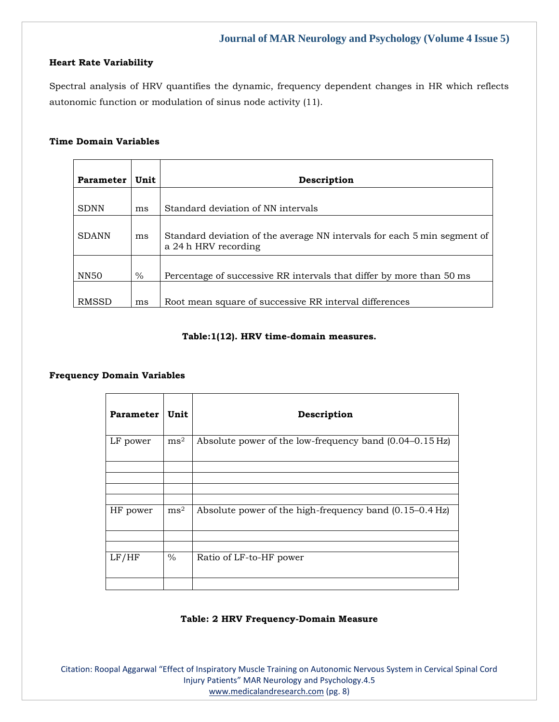#### **Heart Rate Variability**

Spectral analysis of HRV quantifies the dynamic, frequency dependent changes in HR which reflects autonomic function or modulation of sinus node activity (11).

# **Time Domain Variables**

| <b>Parameter</b> | Unit | Description                                                                                      |
|------------------|------|--------------------------------------------------------------------------------------------------|
|                  |      |                                                                                                  |
| <b>SDNN</b>      | ms   | Standard deviation of NN intervals                                                               |
| <b>SDANN</b>     | ms   | Standard deviation of the average NN intervals for each 5 min segment of<br>a 24 h HRV recording |
| NN50             | $\%$ | Percentage of successive RR intervals that differ by more than 50 ms                             |
| <b>RMSSD</b>     | ms   | Root mean square of successive RR interval differences                                           |

# **Table:1(12). HRV time-domain measures.**

# **Frequency Domain Variables**

| <b>Parameter</b> | Unit          | Description                                                       |
|------------------|---------------|-------------------------------------------------------------------|
| LF power         | $\text{ms}^2$ | Absolute power of the low-frequency band $(0.04-0.15 \text{ Hz})$ |
|                  |               |                                                                   |
|                  |               |                                                                   |
|                  |               |                                                                   |
| HF power         | $\text{ms}^2$ | Absolute power of the high-frequency band (0.15–0.4 Hz)           |
|                  |               |                                                                   |
|                  |               |                                                                   |
| LF/HF            | $\frac{0}{0}$ | Ratio of LF-to-HF power                                           |
|                  |               |                                                                   |

#### **Table: 2 HRV Frequency-Domain Measure**

Citation: Roopal Aggarwal "Effect of Inspiratory Muscle Training on Autonomic Nervous System in Cervical Spinal Cord Injury Patients" MAR Neurology and Psychology.4.5 [www.medicalandresearch.com](http://www.medicalandresearch.com/) (pg. 8)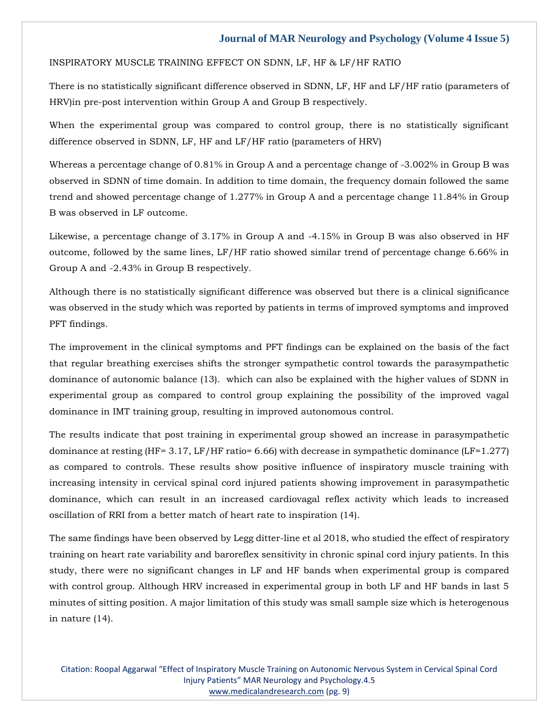#### INSPIRATORY MUSCLE TRAINING EFFECT ON SDNN, LF, HF & LF/HF RATIO

There is no statistically significant difference observed in SDNN, LF, HF and LF/HF ratio (parameters of HRV)in pre-post intervention within Group A and Group B respectively.

When the experimental group was compared to control group, there is no statistically significant difference observed in SDNN, LF, HF and LF/HF ratio (parameters of HRV)

Whereas a percentage change of 0.81% in Group A and a percentage change of -3.002% in Group B was observed in SDNN of time domain. In addition to time domain, the frequency domain followed the same trend and showed percentage change of 1.277% in Group A and a percentage change 11.84% in Group B was observed in LF outcome.

Likewise, a percentage change of 3.17% in Group A and -4.15% in Group B was also observed in HF outcome, followed by the same lines, LF/HF ratio showed similar trend of percentage change 6.66% in Group A and -2.43% in Group B respectively.

Although there is no statistically significant difference was observed but there is a clinical significance was observed in the study which was reported by patients in terms of improved symptoms and improved PFT findings.

The improvement in the clinical symptoms and PFT findings can be explained on the basis of the fact that regular breathing exercises shifts the stronger sympathetic control towards the parasympathetic dominance of autonomic balance (13). which can also be explained with the higher values of SDNN in experimental group as compared to control group explaining the possibility of the improved vagal dominance in IMT training group, resulting in improved autonomous control.

The results indicate that post training in experimental group showed an increase in parasympathetic dominance at resting (HF= 3.17, LF/HF ratio= 6.66) with decrease in sympathetic dominance (LF=1.277) as compared to controls. These results show positive influence of inspiratory muscle training with increasing intensity in cervical spinal cord injured patients showing improvement in parasympathetic dominance, which can result in an increased cardiovagal reflex activity which leads to increased oscillation of RRI from a better match of heart rate to inspiration (14).

The same findings have been observed by Legg ditter-line et al 2018, who studied the effect of respiratory training on heart rate variability and baroreflex sensitivity in chronic spinal cord injury patients. In this study, there were no significant changes in LF and HF bands when experimental group is compared with control group. Although HRV increased in experimental group in both LF and HF bands in last 5 minutes of sitting position. A major limitation of this study was small sample size which is heterogenous in nature (14).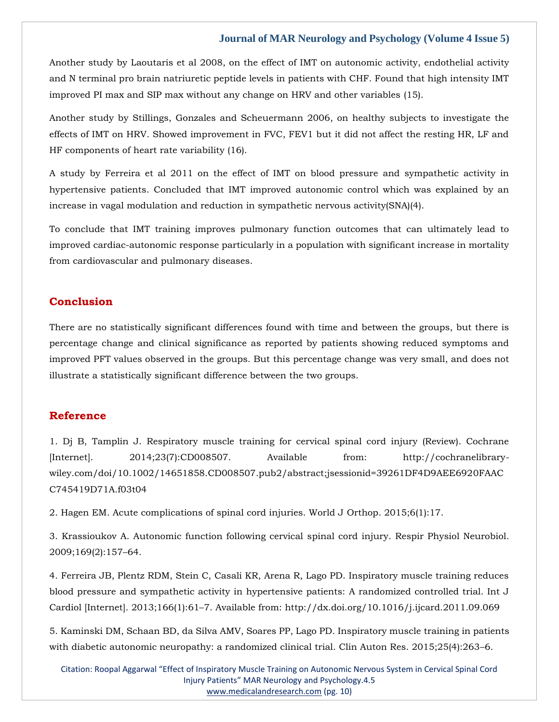Another study by Laoutaris et al 2008, on the effect of IMT on autonomic activity, endothelial activity and N terminal pro brain natriuretic peptide levels in patients with CHF. Found that high intensity IMT improved PI max and SIP max without any change on HRV and other variables (15).

Another study by Stillings, Gonzales and Scheuermann 2006, on healthy subjects to investigate the effects of IMT on HRV. Showed improvement in FVC, FEV1 but it did not affect the resting HR, LF and HF components of heart rate variability (16).

A study by Ferreira et al 2011 on the effect of IMT on blood pressure and sympathetic activity in hypertensive patients. Concluded that IMT improved autonomic control which was explained by an increase in vagal modulation and reduction in sympathetic nervous activity(SNA)(4).

To conclude that IMT training improves pulmonary function outcomes that can ultimately lead to improved cardiac-autonomic response particularly in a population with significant increase in mortality from cardiovascular and pulmonary diseases.

# **Conclusion**

There are no statistically significant differences found with time and between the groups, but there is percentage change and clinical significance as reported by patients showing reduced symptoms and improved PFT values observed in the groups. But this percentage change was very small, and does not illustrate a statistically significant difference between the two groups.

# **Reference**

[1. Dj B, Tamplin J. Respiratory muscle training for cervical spinal cord injury \(Review\). Cochrane](file:///C:/Users/Arief%20Mahimudh/Desktop/MARCH%20Proofs/NE/1.%20Dj%20B,%20Tamplin%20J.%20Respiratory%20muscle%20training%20for%20cervical%20spinal%20cord%20injury%20(Review).%20Cochrane%20%5bInternet%5d.%202014;23(7):CD008507.%20Available%20from:%20http:/cochranelibrary-wiley.com/doi/10.1002/14651858.CD008507.pub2/abstract;jsessionid=39261DF4D9AEE6920FAACC745419D71A.f03t04)  [\[Internet\]. 2014;23\(7\):CD008507. Available from: http://cochranelibrary](file:///C:/Users/Arief%20Mahimudh/Desktop/MARCH%20Proofs/NE/1.%20Dj%20B,%20Tamplin%20J.%20Respiratory%20muscle%20training%20for%20cervical%20spinal%20cord%20injury%20(Review).%20Cochrane%20%5bInternet%5d.%202014;23(7):CD008507.%20Available%20from:%20http:/cochranelibrary-wiley.com/doi/10.1002/14651858.CD008507.pub2/abstract;jsessionid=39261DF4D9AEE6920FAACC745419D71A.f03t04)[wiley.com/doi/10.1002/14651858.CD008507.pub2/abstract;jsessionid=39261DF4D9AEE6920FAAC](file:///C:/Users/Arief%20Mahimudh/Desktop/MARCH%20Proofs/NE/1.%20Dj%20B,%20Tamplin%20J.%20Respiratory%20muscle%20training%20for%20cervical%20spinal%20cord%20injury%20(Review).%20Cochrane%20%5bInternet%5d.%202014;23(7):CD008507.%20Available%20from:%20http:/cochranelibrary-wiley.com/doi/10.1002/14651858.CD008507.pub2/abstract;jsessionid=39261DF4D9AEE6920FAACC745419D71A.f03t04) [C745419D71A.f03t04](file:///C:/Users/Arief%20Mahimudh/Desktop/MARCH%20Proofs/NE/1.%20Dj%20B,%20Tamplin%20J.%20Respiratory%20muscle%20training%20for%20cervical%20spinal%20cord%20injury%20(Review).%20Cochrane%20%5bInternet%5d.%202014;23(7):CD008507.%20Available%20from:%20http:/cochranelibrary-wiley.com/doi/10.1002/14651858.CD008507.pub2/abstract;jsessionid=39261DF4D9AEE6920FAACC745419D71A.f03t04)

[2. Hagen EM. Acute complications of spinal cord injuries. World J](https://www.google.com/search?q=Acute+complications+of+spinal+cord+injuries&sxsrf=APq-WBvQVxY2-OFjwc8dCYXMvwvN1L0Mcw%3A1648623336576&ei=6P5DYvTnItrZz7sPt9i4gAc&ved=0ahUKEwj0--DCoO32AhXa7HMBHTcsDnAQ4dUDCA4&oq=Acute+complications+of+spinal+cord+injuries&gs_lcp=Cgdnd3Mtd2l6EAwyBggAEBYQHjIGCAAQFhAeMgYIABAWEB46BwgjEOoCECdKBAhBGABKBAhGGABQIVghYPAIaAFwAXgAgAFtiAFtkgEDMC4xmAEAoAEBoAECsAEKwAEB&sclient=gws-wiz) Orthop. 2015;6(1):17.

[3. Krassioukov A. Autonomic function following cervical spinal cord injury. Respir Physiol Neurobiol.](https://www.google.com/search?q=Autonomic+function+following+cervical+spinal+cord+injury.+&sxsrf=APq-WBsbMHgOWNRiWKUZJ6eEBAMpxFHLRg%3A1648623267016&ei=o_5DYpNQxdvPuw-Wvr7ACw&ved=0ahUKEwjTrcuhoO32AhXF7XMBHRafD7gQ4dUDCA4&oq=Autonomic+function+following+cervical+spinal+cord+injury.+&gs_lcp=Cgdnd3Mtd2l6EAwyBggAEBYQHjoHCCMQ6gIQJ0oECEEYAEoECEYYAFDtAVjtAWClCWgBcAB4AIABbIgBbJIBAzAuMZgBAKABAaABArABCsABAQ&sclient=gws-wiz)  [2009;169\(2\):157](https://www.google.com/search?q=Autonomic+function+following+cervical+spinal+cord+injury.+&sxsrf=APq-WBsbMHgOWNRiWKUZJ6eEBAMpxFHLRg%3A1648623267016&ei=o_5DYpNQxdvPuw-Wvr7ACw&ved=0ahUKEwjTrcuhoO32AhXF7XMBHRafD7gQ4dUDCA4&oq=Autonomic+function+following+cervical+spinal+cord+injury.+&gs_lcp=Cgdnd3Mtd2l6EAwyBggAEBYQHjoHCCMQ6gIQJ0oECEEYAEoECEYYAFDtAVjtAWClCWgBcAB4AIABbIgBbJIBAzAuMZgBAKABAaABArABCsABAQ&sclient=gws-wiz)–64.

[4. Ferreira JB, Plentz RDM, Stein C, Casali KR, Arena R, Lago PD. Inspiratory muscle training reduces](file:///C:/Users/Arief%20Mahimudh/Desktop/MARCH%20Proofs/NE/4.%20Ferreira%20JB,%20Plentz%20RDM,%20Stein%20C,%20Casali%20KR,%20Arena%20R,%20Lago%20PD.%20Inspiratory%20muscle%20training%20reduces%20blood%20pressure%20and%20sympathetic%20activity%20in%20hypertensive%20patients:%20A%20randomized%20controlled%20trial.%20Int%20J%20Cardiol%20%5bInternet%5d.%202013;166(1):61–7.%20Available%20from:%20http:/dx.doi.org/10.1016/j.ijcard.2011.09.069)  [blood pressure and sympathetic activity in hypertensive patients: A randomized controlled trial. Int J](file:///C:/Users/Arief%20Mahimudh/Desktop/MARCH%20Proofs/NE/4.%20Ferreira%20JB,%20Plentz%20RDM,%20Stein%20C,%20Casali%20KR,%20Arena%20R,%20Lago%20PD.%20Inspiratory%20muscle%20training%20reduces%20blood%20pressure%20and%20sympathetic%20activity%20in%20hypertensive%20patients:%20A%20randomized%20controlled%20trial.%20Int%20J%20Cardiol%20%5bInternet%5d.%202013;166(1):61–7.%20Available%20from:%20http:/dx.doi.org/10.1016/j.ijcard.2011.09.069)  Cardiol [Internet]. 2013;166(1):61–[7. Available from: http://dx.doi.org/10.1016/j.ijcard.2011.09.069](file:///C:/Users/Arief%20Mahimudh/Desktop/MARCH%20Proofs/NE/4.%20Ferreira%20JB,%20Plentz%20RDM,%20Stein%20C,%20Casali%20KR,%20Arena%20R,%20Lago%20PD.%20Inspiratory%20muscle%20training%20reduces%20blood%20pressure%20and%20sympathetic%20activity%20in%20hypertensive%20patients:%20A%20randomized%20controlled%20trial.%20Int%20J%20Cardiol%20%5bInternet%5d.%202013;166(1):61–7.%20Available%20from:%20http:/dx.doi.org/10.1016/j.ijcard.2011.09.069)

[5. Kaminski DM, Schaan BD, da Silva AMV, Soares PP, Lago PD. Inspiratory muscle](https://www.google.com/search?q=Inspiratory+muscle+training+in+patients+with+diabetic+autonomic+neuropathy%3A+a+randomized+clinical+trial.+&sxsrf=APq-WBv70CaVOR1paIHuXrOsZTMgP4cQYw%3A1648623251059&ei=k_5DYp-jA-yq4t4Ptf6C6AM&ved=0ahUKEwjfuP2ZoO32AhVsldgFHTW_AD0Q4dUDCA4&oq=Inspiratory+muscle+training+in+patients+with+diabetic+autonomic+neuropathy%3A+a+randomized+clinical+trial.+&gs_lcp=Cgdnd3Mtd2l6EAwyBwgjEOoCECcyBwgjEOoCECcyBwgjEOoCECcyBwgjEOoCECcyBwgjEOoCECcyBwgjEOoCECcyBwgjEOoCECcyBwgjEOoCECcyBwgjEOoCECcyBwgjEOoCECdKBAhBGABKBAhGGABQQFhAYLkIaAFwAHgAgAEAiAEAkgEAmAEAoAEBoAECsAEKwAEB&sclient=gws-wiz) training in patients [with diabetic autonomic neuropathy: a randomized clinical trial. Clin Auton Res. 2015;25\(4\):263](https://www.google.com/search?q=Inspiratory+muscle+training+in+patients+with+diabetic+autonomic+neuropathy%3A+a+randomized+clinical+trial.+&sxsrf=APq-WBv70CaVOR1paIHuXrOsZTMgP4cQYw%3A1648623251059&ei=k_5DYp-jA-yq4t4Ptf6C6AM&ved=0ahUKEwjfuP2ZoO32AhVsldgFHTW_AD0Q4dUDCA4&oq=Inspiratory+muscle+training+in+patients+with+diabetic+autonomic+neuropathy%3A+a+randomized+clinical+trial.+&gs_lcp=Cgdnd3Mtd2l6EAwyBwgjEOoCECcyBwgjEOoCECcyBwgjEOoCECcyBwgjEOoCECcyBwgjEOoCECcyBwgjEOoCECcyBwgjEOoCECcyBwgjEOoCECcyBwgjEOoCECcyBwgjEOoCECdKBAhBGABKBAhGGABQQFhAYLkIaAFwAHgAgAEAiAEAkgEAmAEAoAEBoAECsAEKwAEB&sclient=gws-wiz)–6.

Citation: Roopal Aggarwal "Effect of Inspiratory Muscle Training on Autonomic Nervous System in Cervical Spinal Cord Injury Patients" MAR Neurology and Psychology.4.5 [www.medicalandresearch.com](http://www.medicalandresearch.com/) (pg. 10)